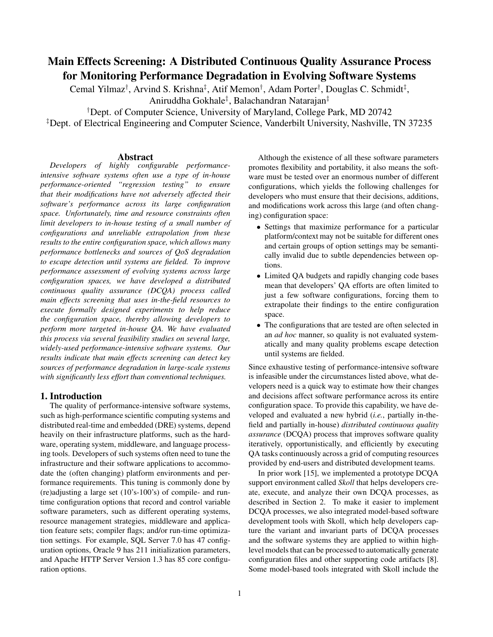# **Main Effects Screening: A Distributed Continuous Quality Assurance Process for Monitoring Performance Degradation in Evolving Software Systems**

Cemal Yilmaz<sup>†</sup>, Arvind S. Krishna<sup>‡</sup>, Atif Memon<sup>†</sup>, Adam Porter<sup>†</sup>, Douglas C. Schmidt<sup>‡</sup>,

Aniruddha Gokhale‡ , Balachandran Natarajan‡

†Dept. of Computer Science, University of Maryland, College Park, MD 20742

‡Dept. of Electrical Engineering and Computer Science, Vanderbilt University, Nashville, TN 37235

## **Abstract**

*Developers of highly configurable performanceintensive software systems often use a type of in-house performance-oriented "regression testing" to ensure that their modifications have not adversely affected their software's performance across its large configuration space. Unfortunately, time and resource constraints often limit developers to in-house testing of a small number of configurations and unreliable extrapolation from these results to the entire configuration space, which allows many performance bottlenecks and sources of QoS degradation to escape detection until systems are fielded. To improve performance assessment of evolving systems across large configuration spaces, we have developed a distributed continuous quality assurance (DCQA) process called main effects screening that uses in-the-field resources to execute formally designed experiments to help reduce the configuration space, thereby allowing developers to perform more targeted in-house QA. We have evaluated this process via several feasibility studies on several large, widely-used performance-intensive software systems. Our results indicate that main effects screening can detect key sources of performance degradation in large-scale systems with significantly less effort than conventional techniques.*

## **1. Introduction**

The quality of performance-intensive software systems, such as high-performance scientific computing systems and distributed real-time and embedded (DRE) systems, depend heavily on their infrastructure platforms, such as the hardware, operating system, middleware, and language processing tools. Developers of such systems often need to tune the infrastructure and their software applications to accommodate the (often changing) platform environments and performance requirements. This tuning is commonly done by (re)adjusting a large set (10's-100's) of compile- and runtime configuration options that record and control variable software parameters, such as different operating systems, resource management strategies, middleware and application feature sets; compiler flags; and/or run-time optimization settings. For example, SQL Server 7.0 has 47 configuration options, Oracle 9 has 211 initialization parameters, and Apache HTTP Server Version 1.3 has 85 core configuration options.

Although the existence of all these software parameters promotes flexibility and portability, it also means the software must be tested over an enormous number of different configurations, which yields the following challenges for developers who must ensure that their decisions, additions, and modifications work across this large (and often changing) configuration space:

- Settings that maximize performance for a particular platform/context may not be suitable for different ones and certain groups of option settings may be semantically invalid due to subtle dependencies between options.
- Limited QA budgets and rapidly changing code bases mean that developers' QA efforts are often limited to just a few software configurations, forcing them to extrapolate their findings to the entire configuration space.
- The configurations that are tested are often selected in an *ad hoc* manner, so quality is not evaluated systematically and many quality problems escape detection until systems are fielded.

Since exhaustive testing of performance-intensive software is infeasible under the circumstances listed above, what developers need is a quick way to estimate how their changes and decisions affect software performance across its entire configuration space. To provide this capability, we have developed and evaluated a new hybrid (*i.e.*, partially in-thefield and partially in-house) *distributed continuous quality assurance* (DCQA) process that improves software quality iteratively, opportunistically, and efficiently by executing QA tasks continuously across a grid of computing resources provided by end-users and distributed development teams.

In prior work [15], we implemented a prototype DCQA support environment called *Skoll* that helps developers create, execute, and analyze their own DCQA processes, as described in Section 2. To make it easier to implement DCQA processes, we also integrated model-based software development tools with Skoll, which help developers capture the variant and invariant parts of DCQA processes and the software systems they are applied to within highlevel models that can be processed to automatically generate configuration files and other supporting code artifacts [8]. Some model-based tools integrated with Skoll include the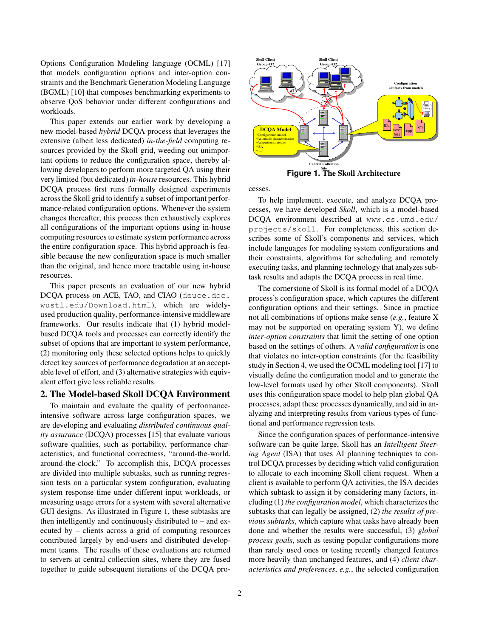Options Configuration Modeling language (OCML) [17] that models configuration options and inter-option constraints and the Benchmark Generation Modeling Language (BGML) [10] that composes benchmarking experiments to observe QoS behavior under different configurations and workloads.

This paper extends our earlier work by developing a new model-based *hybrid* DCQA process that leverages the extensive (albeit less dedicated) *in-the-field* computing resources provided by the Skoll grid, weeding out unimportant options to reduce the configuration space, thereby allowing developers to perform more targeted QA using their very limited (but dedicated) *in-house* resources. This hybrid DCQA process first runs formally designed experiments acrossthe Skoll grid to identify a subset of important performance-related configuration options. Whenever the system changes thereafter, this process then exhaustively explores all configurations of the important options using in-house computing resources to estimate system performance across the entire configuration space. This hybrid approach is feasible because the new configuration space is much smaller than the original, and hence more tractable using in-house resources.

This paper presents an evaluation of our new hybrid DCQA process on ACE, TAO, and CIAO (deuce.doc. wustl.edu/Download.html), which are widelyused production quality, performance-intensive middleware frameworks. Our results indicate that (1) hybrid modelbased DCQA tools and processes can correctly identify the subset of options that are important to system performance, (2) monitoring only these selected options helps to quickly detect key sources of performance degradation at an acceptable level of effort, and (3) alternative strategies with equivalent effort give less reliable results.

#### **2. The Model-based Skoll DCQA Environment**

To maintain and evaluate the quality of performanceintensive software across large configuration spaces, we are developing and evaluating *distributed continuous quality assurance* (DCQA) processes [15] that evaluate various software qualities, such as portability, performance characteristics, and functional correctness, "around-the-world, around-the-clock." To accomplish this, DCQA processes are divided into multiple subtasks, such as running regression tests on a particular system configuration, evaluating system response time under different input workloads, or measuring usage errors for a system with several alternative GUI designs. As illustrated in Figure 1, these subtasks are then intelligently and continuously distributed to – and executed by – clients across a grid of computing resources contributed largely by end-users and distributed development teams. The results of these evaluations are returned to servers at central collection sites, where they are fused together to guide subsequent iterations of the DCQA pro-



**Site Figure 1. The Skoll Architecture**

cesses.

To help implement, execute, and analyze DCQA processes, we have developed *Skoll*, which is a model-based DCQA environment described at www.cs.umd.edu/ projects/skoll. For completeness, this section describes some of Skoll's components and services, which include languages for modeling system configurations and their constraints, algorithms for scheduling and remotely executing tasks, and planning technology that analyzes subtask results and adapts the DCQA process in real time.

The cornerstone of Skoll is its formal model of a DCQA process's configuration space, which captures the different configuration options and their settings. Since in practice not all combinations of options make sense (*e.g.*, feature X may not be supported on operating system Y), we define *inter-option constraints* that limit the setting of one option based on the settings of others. A *valid configuration* is one that violates no inter-option constraints (for the feasibility study in Section 4, we used the OCML modeling tool [17] to visually define the configuration model and to generate the low-level formats used by other Skoll components). Skoll uses this configuration space model to help plan global QA processes, adapt these processes dynamically, and aid in analyzing and interpreting results from various types of functional and performance regression tests.

Since the configuration spaces of performance-intensive software can be quite large, Skoll has an *Intelligent Steering Agent* (ISA) that uses AI planning techniques to control DCQA processes by deciding which valid configuration to allocate to each incoming Skoll client request. When a client is available to perform QA activities, the ISA decides which subtask to assign it by considering many factors, including (1) *the configuration model*, which characterizesthe subtasks that can legally be assigned, (2) *the results of previous subtasks*, which capture what tasks have already been done and whether the results were successful, (3) *global process goals*, such as testing popular configurations more than rarely used ones or testing recently changed features more heavily than unchanged features, and (4) *client characteristics and preferences*, *e.g.*, the selected configuration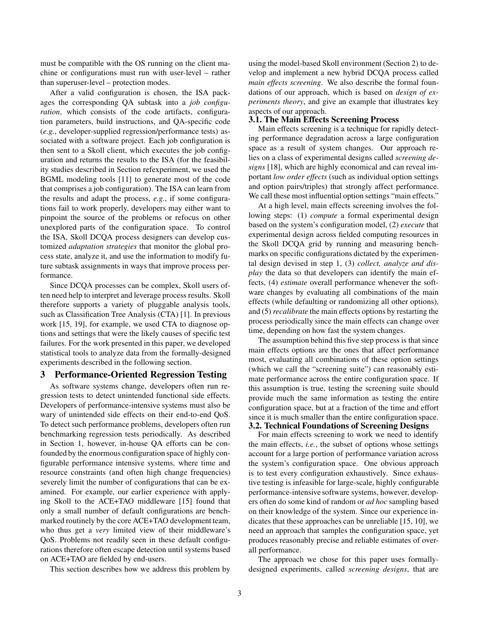must be compatible with the OS running on the client machine or configurations must run with user-level – rather than superuser-level – protection modes.

After a valid configuration is chosen, the ISA packages the corresponding QA subtask into a *job configuration*, which consists of the code artifacts, configuration parameters, build instructions, and QA-specific code (*e.g.*, developer-supplied regression/performance tests) associated with a software project. Each job configuration is then sent to a Skoll client, which executes the job configuration and returns the results to the ISA (for the feasibility studies described in Section refexperiment, we used the BGML modeling tools [11] to generate most of the code that comprises a job configuration). The ISA can learn from the results and adapt the process, *e.g.*, if some configurations fail to work properly, developers may either want to pinpoint the source of the problems or refocus on other unexplored parts of the configuration space. To control the ISA, Skoll DCQA process designers can develop customized *adaptation strategies* that monitor the global process state, analyze it, and use the information to modify future subtask assignments in ways that improve process performance.

Since DCQA processes can be complex, Skoll users often need help to interpret and leverage process results. Skoll therefore supports a variety of pluggable analysis tools, such as Classification Tree Analysis (CTA) [1]. In previous work [15, 19], for example, we used CTA to diagnose options and settings that were the likely causes of specific test failures. For the work presented in this paper, we developed statistical tools to analyze data from the formally-designed experiments described in the following section.

## **3 Performance-Oriented Regression Testing**

As software systems change, developers often run regression tests to detect unintended functional side effects. Developers of performance-intensive systems must also be wary of unintended side effects on their end-to-end QoS. To detect such performance problems, developers often run benchmarking regression tests periodically. As described in Section 1, however, in-house QA efforts can be confounded by the enormous configuration space of highly configurable performance intensive systems, where time and resource constraints (and often high change frequencies) severely limit the number of configurations that can be examined. For example, our earlier experience with applying Skoll to the ACE+TAO middleware [15] found that only a small number of default configurations are benchmarked routinely by the core ACE+TAO development team, who thus get a *very* limited view of their middleware's QoS. Problems not readily seen in these default configurations therefore often escape detection until systems based on ACE+TAO are fielded by end-users.

This section describes how we address this problem by

using the model-based Skoll environment (Section 2) to develop and implement a new hybrid DCQA process called *main effects screening*. We also describe the formal foundations of our approach, which is based on *design of experiments theory*, and give an example that illustrates key aspects of our approach.

# **3.1. The Main Effects Screening Process**

Main effects screening is a technique for rapidly detecting performance degradation across a large configuration space as a result of system changes. Our approach relies on a class of experimental designs called *screening designs* [18], which are highly economical and can reveal important *low order effects* (such as individual option settings and option pairs/triples) that strongly affect performance. We call these most influential option settings "main effects."

At a high level, main effects screening involves the following steps: (1) *compute* a formal experimental design based on the system's configuration model, (2) *execute* that experimental design across fielded computing resources in the Skoll DCQA grid by running and measuring benchmarks on specific configurations dictated by the experimental design devised in step 1, (3) *collect, analyze and display* the data so that developers can identify the main effects, (4) *estimate* overall performance whenever the software changes by evaluating all combinations of the main effects (while defaulting or randomizing all other options), and (5) *recalibrate* the main effects options by restarting the process periodically since the main effects can change over time, depending on how fast the system changes.

The assumption behind this five step process is that since main effects options are the ones that affect performance most, evaluating all combinations of these option settings (which we call the "screening suite") can reasonably estimate performance across the entire configuration space. If this assumption is true, testing the screening suite should provide much the same information as testing the entire configuration space, but at a fraction of the time and effort since it is much smaller than the entire configuration space. **3.2. Technical Foundations of Screening Designs**

For main effects screening to work we need to identify the main effects, *i.e.*, the subset of options whose settings account for a large portion of performance variation across the system's configuration space. One obvious approach is to test every configuration exhaustively. Since exhaustive testing is infeasible for large-scale, highly configurable performance-intensive software systems, however, developers often do some kind of random or *ad hoc* sampling based on their knowledge of the system. Since our experience indicates that these approaches can be unreliable [15, 10], we need an approach that samples the configuration space, yet produces reasonably precise and reliable estimates of overall performance.

The approach we chose for this paper uses formallydesigned experiments, called *screening designs*, that are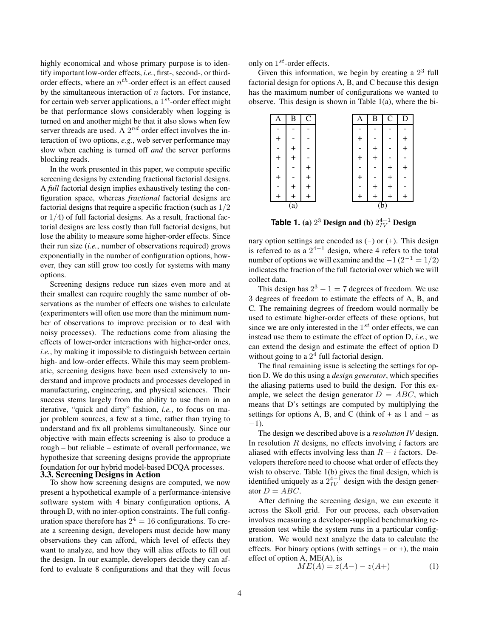highly economical and whose primary purpose is to identify important low-order effects, *i.e.*, first-, second-, or thirdorder effects, where an  $n^{th}$ -order effect is an effect caused by the simultaneous interaction of  $n$  factors. For instance, for certain web server applications, a  $1^{st}$ -order effect might be that performance slows considerably when logging is turned on and another might be that it also slows when few server threads are used. A  $2^{nd}$  order effect involves the interaction of two options, *e.g.*, web server performance may slow when caching is turned off *and* the server performs blocking reads.

In the work presented in this paper, we compute specific screening designs by extending fractional factorial designs. A *full* factorial design implies exhaustively testing the configuration space, whereas *fractional* factorial designs are factorial designs that require a specific fraction (such as 1/2 or  $1/4$ ) of full factorial designs. As a result, fractional factorial designs are less costly than full factorial designs, but lose the ability to measure some higher-order effects. Since their run size (*i.e.*, number of observations required) grows exponentially in the number of configuration options, however, they can still grow too costly for systems with many options.

Screening designs reduce run sizes even more and at their smallest can require roughly the same number of observations as the number of effects one wishes to calculate (experimenters will often use more than the minimum number of observations to improve precision or to deal with noisy processes). The reductions come from aliasing the effects of lower-order interactions with higher-order ones, *i.e.*, by making it impossible to distinguish between certain high- and low-order effects. While this may seem problematic, screening designs have been used extensively to understand and improve products and processes developed in manufacturing, engineering, and physical sciences. Their success stems largely from the ability to use them in an iterative, "quick and dirty" fashion, *i.e.*, to focus on major problem sources, a few at a time, rather than trying to understand and fix all problems simultaneously. Since our objective with main effects screening is also to produce a rough – but reliable – estimate of overall performance, we hypothesize that screening designs provide the appropriate foundation for our hybrid model-based DCQA processes. **3.3. Screening Designs in Action**

To show how screening designs are computed, we now present a hypothetical example of a performance-intensive software system with 4 binary configuration options, A through D, with no inter-option constraints. The full configuration space therefore has  $2^4 = 16$  configurations. To create a screening design, developers must decide how many observations they can afford, which level of effects they want to analyze, and how they will alias effects to fill out the design. In our example, developers decide they can afford to evaluate 8 configurations and that they will focus

only on  $1^{st}$ -order effects.

Given this information, we begin by creating a  $2<sup>3</sup>$  full factorial design for options A, B, and C because this design has the maximum number of configurations we wanted to observe. This design is shown in Table 1(a), where the bi-

| A                | B               | $\mathcal{C}$   |  | Α                | B         | $\mathcal{C}$ | D               |
|------------------|-----------------|-----------------|--|------------------|-----------|---------------|-----------------|
|                  |                 |                 |  |                  |           |               |                 |
| $\ddot{}$        |                 |                 |  | $\,{}^+$         |           |               | ┽               |
|                  | $^{\mathrm{+}}$ |                 |  |                  | ╉         |               | $^{\mathrm{+}}$ |
| $\boldsymbol{+}$ | $\overline{+}$  |                 |  | $\,{}^+$         | $\ddot{}$ |               |                 |
|                  |                 | ╅               |  |                  |           |               | $^{\mathrm{+}}$ |
| $\ddot{}$        |                 | $\ddot{}$       |  | $^{+}$           |           | ┿             |                 |
|                  | $\,^+$          | $^{\mathrm{+}}$ |  |                  | $\ddot{}$ | $\ddot{}$     |                 |
|                  | $^{\mathrm{+}}$ |                 |  |                  | $+$       | $\ddot{}$     | $\ddot{}$       |
|                  | (a)             |                 |  | $\overline{(b)}$ |           |               |                 |

**Table 1.** (a)  $2^3$  Design and (b)  $2^{4-1}_{IV}$  Design

nary option settings are encoded as  $(-)$  or  $(+)$ . This design is referred to as a  $2^{4-1}$  design, where 4 refers to the total number of options we will examine and the  $-1(2^{-1} = 1/2)$ indicates the fraction of the full factorial over which we will collect data.

This design has  $2^3 - 1 = 7$  degrees of freedom. We use 3 degrees of freedom to estimate the effects of A, B, and C. The remaining degrees of freedom would normally be used to estimate higher-order effects of these options, but since we are only interested in the  $1^{st}$  order effects, we can instead use them to estimate the effect of option D, *i.e.*, we can extend the design and estimate the effect of option D without going to a  $2<sup>4</sup>$  full factorial design.

The final remaining issue is selecting the settings for option D. We do this using a *design generator*, which specifies the aliasing patterns used to build the design. For this example, we select the design generator  $D = ABC$ , which means that D's settings are computed by multiplying the settings for options A, B, and C (think of  $+$  as 1 and  $-$  as  $-1$ ).

The design we described above is a *resolution IV* design. In resolution  $R$  designs, no effects involving  $i$  factors are aliased with effects involving less than  $R - i$  factors. Developers therefore need to choose what order of effects they wish to observe. Table 1(b) gives the final design, which is identified uniquely as a  $2^{4-1}_{IV}$  design with the design generator  $D = ABC$ .

After defining the screening design, we can execute it across the Skoll grid. For our process, each observation involves measuring a developer-supplied benchmarking regression test while the system runs in a particular configuration. We would next analyze the data to calculate the effects. For binary options (with settings  $-$  or  $+$ ), the main effect of option A, ME(A), is

$$
ME(A) = z(A-) - z(A+) \tag{1}
$$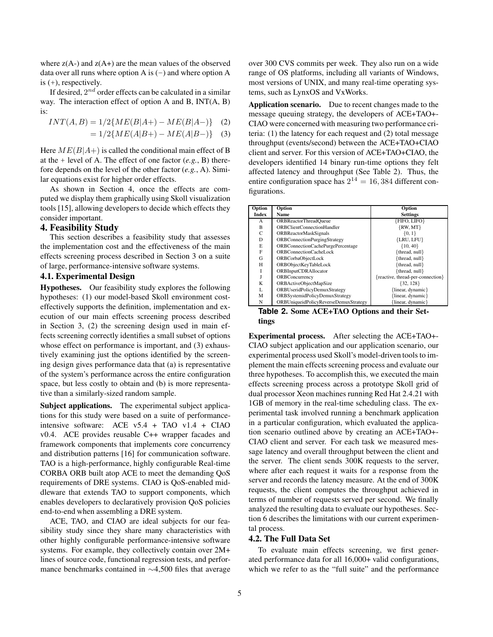where  $z(A-)$  and  $z(A+)$  are the mean values of the observed data over all runs where option A is  $(-)$  and where option A is (+), respectively.

If desired,  $2^{nd}$  order effects can be calculated in a similar way. The interaction effect of option A and B, INT(A, B) is:

$$
INT(A, B) = 1/2\{ME(B|A+) - ME(B|A-)\}
$$
 (2)  
= 1/2{ME(A|B+) - ME(A|B-)} (3)

Here  $ME(B|A+)$  is called the conditional main effect of B at the + level of A. The effect of one factor (*e.g.*, B) therefore depends on the level of the other factor (*e.g.*, A). Similar equations exist for higher order effects.

As shown in Section 4, once the effects are computed we display them graphically using Skoll visualization tools [15], allowing developers to decide which effects they consider important.

## **4. Feasibility Study**

This section describes a feasibility study that assesses the implementation cost and the effectiveness of the main effects screening process described in Section 3 on a suite of large, performance-intensive software systems.

## **4.1. Experimental Design**

**Hypotheses.** Our feasibility study explores the following hypotheses: (1) our model-based Skoll environment costeffectively supports the definition, implementation and execution of our main effects screening process described in Section 3, (2) the screening design used in main effects screening correctly identifies a small subset of options whose effect on performance is important, and (3) exhaustively examining just the options identified by the screening design gives performance data that (a) is representative of the system's performance across the entire configuration space, but less costly to obtain and (b) is more representative than a similarly-sized random sample.

**Subject applications.** The experimental subject applications for this study were based on a suite of performanceintensive software: ACE v5.4 + TAO v1.4 + CIAO v0.4. ACE provides reusable C++ wrapper facades and framework components that implements core concurrency and distribution patterns [16] for communication software. TAO is a high-performance, highly configurable Real-time CORBA ORB built atop ACE to meet the demanding QoS requirements of DRE systems. CIAO is QoS-enabled middleware that extends TAO to support components, which enables developers to declaratively provision QoS policies end-to-end when assembling a DRE system.

ACE, TAO, and CIAO are ideal subjects for our feasibility study since they share many characteristics with other highly configurable performance-intensive software systems. For example, they collectively contain over 2M+ lines of source code, functional regression tests, and performance benchmarks contained in ∼4,500 files that average over 300 CVS commits per week. They also run on a wide range of OS platforms, including all variants of Windows, most versions of UNIX, and many real-time operating systems, such as LynxOS and VxWorks.

**Application scenario.** Due to recent changes made to the message queuing strategy, the developers of ACE+TAO+- CIAO were concerned with measuring two performance criteria: (1) the latency for each request and (2) total message throughput (events/second) between the ACE+TAO+CIAO client and server. For this version of ACE+TAO+CIAO, the developers identified 14 binary run-time options they felt affected latency and throughput (See Table 2). Thus, the entire configuration space has  $2^{14} = 16,384$  different configurations.

| Option                               | Option                                | Option                               |  |  |  |  |
|--------------------------------------|---------------------------------------|--------------------------------------|--|--|--|--|
| Index                                | Name                                  | <b>Settings</b>                      |  |  |  |  |
| А                                    | ORBReactorThreadQueue                 | $\overline{\text{FFO}}, \text{LIFO}$ |  |  |  |  |
| B                                    | ORBClientConnectionHandler            | $\{RW, MT\}$                         |  |  |  |  |
| $\mathsf{C}$                         | <b>ORBReactorMaskSignals</b>          | ${0, 1}$                             |  |  |  |  |
| D                                    | <b>ORBConnectionPurgingStrategy</b>   | ${LRU, LFU}$                         |  |  |  |  |
| E                                    | ORBConnectionCachePurgePercentage     | ${10, 40}$                           |  |  |  |  |
| F                                    | ORBConnectionCacheLock                | {thread, null}                       |  |  |  |  |
| G                                    | ORBCorbaObjectLock                    | {thread, null}                       |  |  |  |  |
| Н                                    | ORBObjectKeyTableLock                 | {thread, null}                       |  |  |  |  |
|                                      | <b>ORBInputCDRAllocator</b>           | {thread, null}                       |  |  |  |  |
|                                      | ORBConcurrency                        | {reactive, thread-per-connection}    |  |  |  |  |
| K                                    | ORBActiveObjectMapSize                | ${32, 128}$                          |  |  |  |  |
| L                                    | ORBUseridPolicyDemuxStrategy          | {linear, dynamic}                    |  |  |  |  |
| М                                    | ORBSystemidPolicyDemuxStrategy        | {linear, dynamic}                    |  |  |  |  |
| N                                    | ORBUniqueidPolicyReverseDemuxStrategy | linear, dynamic                      |  |  |  |  |
| $\mathbf{F}$ -LLAC CONTROLLACE IN CL |                                       |                                      |  |  |  |  |

**Table 2. Some ACE+TAO Options and their Settings**

**Experimental process.** After selecting the ACE+TAO+- CIAO subject application and our application scenario, our experimental process used Skoll's model-driven tools to implement the main effects screening process and evaluate our three hypotheses. To accomplish this, we executed the main effects screening process across a prototype Skoll grid of dual processor Xeon machines running Red Hat 2.4.21 with 1GB of memory in the real-time scheduling class. The experimental task involved running a benchmark application in a particular configuration, which evaluated the application scenario outlined above by creating an ACE+TAO+- CIAO client and server. For each task we measured message latency and overall throughput between the client and the server. The client sends 300K requests to the server, where after each request it waits for a response from the server and records the latency measure. At the end of 300K requests, the client computes the throughput achieved in terms of number of requests served per second. We finally analyzed the resulting data to evaluate our hypotheses. Section 6 describes the limitations with our current experimental process.

## **4.2. The Full Data Set**

To evaluate main effects screening, we first generated performance data for all 16,000+ valid configurations, which we refer to as the "full suite" and the performance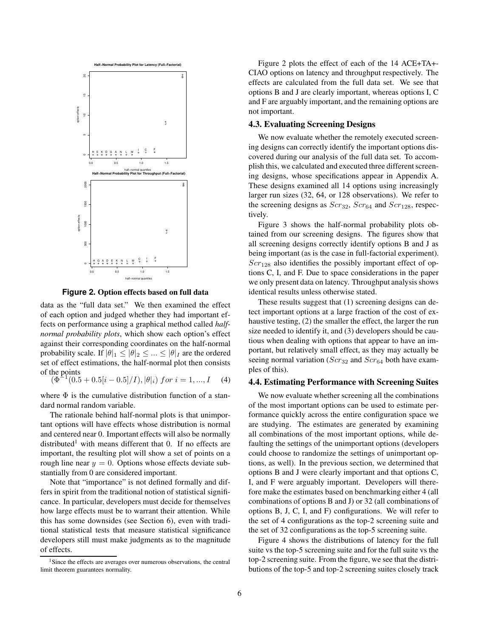

**Figure 2. Option effects based on full data**

data as the "full data set." We then examined the effect of each option and judged whether they had important effects on performance using a graphical method called *halfnormal probability plots*, which show each option's effect against their corresponding coordinates on the half-normal probability scale. If  $|\theta|_1 \leq |\theta|_2 \leq ... \leq |\theta|_I$  are the ordered set of effect estimations, the half-normal plot then consists of the points

 $(\Phi^{\text{-}})$  $\widetilde{J}(0.5 + 0.5|i - 0.5|/I), |\theta|_i)$  for  $i = 1, ..., I$  (4)

where  $\Phi$  is the cumulative distribution function of a standard normal random variable.

The rationale behind half-normal plots is that unimportant options will have effects whose distribution is normal and centered near 0. Important effects will also be normally distributed<sup>1</sup> with means different that 0. If no effects are important, the resulting plot will show a set of points on a rough line near  $y = 0$ . Options whose effects deviate substantially from 0 are considered important.

Note that "importance" is not defined formally and differs in spirit from the traditional notion of statistical significance. In particular, developers must decide for themselves how large effects must be to warrant their attention. While this has some downsides (see Section 6), even with traditional statistical tests that measure statistical significance developers still must make judgments as to the magnitude of effects.

Figure 2 plots the effect of each of the 14 ACE+TA+- CIAO options on latency and throughput respectively. The effects are calculated from the full data set. We see that options B and J are clearly important, whereas options I, C and F are arguably important, and the remaining options are not important.

## **4.3. Evaluating Screening Designs**

We now evaluate whether the remotely executed screening designs can correctly identify the important options discovered during our analysis of the full data set. To accomplish this, we calculated and executed three different screening designs, whose specifications appear in Appendix A. These designs examined all 14 options using increasingly larger run sizes (32, 64, or 128 observations). We refer to the screening designs as  $Scr_{32}$ ,  $Scr_{64}$  and  $Scr_{128}$ , respectively.

Figure 3 shows the half-normal probability plots obtained from our screening designs. The figures show that all screening designs correctly identify options B and J as being important (as is the case in full-factorial experiment).  $Scr_{128}$  also identifies the possibly important effect of options C, I, and F. Due to space considerations in the paper we only present data on latency. Throughput analysis shows identical results unless otherwise stated.

These results suggest that (1) screening designs can detect important options at a large fraction of the cost of exhaustive testing, (2) the smaller the effect, the larger the run size needed to identify it, and (3) developers should be cautious when dealing with options that appear to have an important, but relatively small effect, as they may actually be seeing normal variation ( $Scr_{32}$  and  $Scr_{64}$  both have examples of this).

## **4.4. Estimating Performance with Screening Suites**

We now evaluate whether screening all the combinations of the most important options can be used to estimate performance quickly across the entire configuration space we are studying. The estimates are generated by examining all combinations of the most important options, while defaulting the settings of the unimportant options (developers could choose to randomize the settings of unimportant options, as well). In the previous section, we determined that options B and J were clearly important and that options C, I, and F were arguably important. Developers will therefore make the estimates based on benchmarking either 4 (all combinations of options B and J) or 32 (all combinations of options B, J, C, I, and F) configurations. We will refer to the set of 4 configurations as the top-2 screening suite and the set of 32 configurations as the top-5 screening suite.

Figure 4 shows the distributions of latency for the full suite vs the top-5 screening suite and for the full suite vs the top-2 screening suite. From the figure, we see that the distributions of the top-5 and top-2 screening suites closely track

<sup>&</sup>lt;sup>1</sup>Since the effects are averages over numerous observations, the central limit theorem guarantees normality.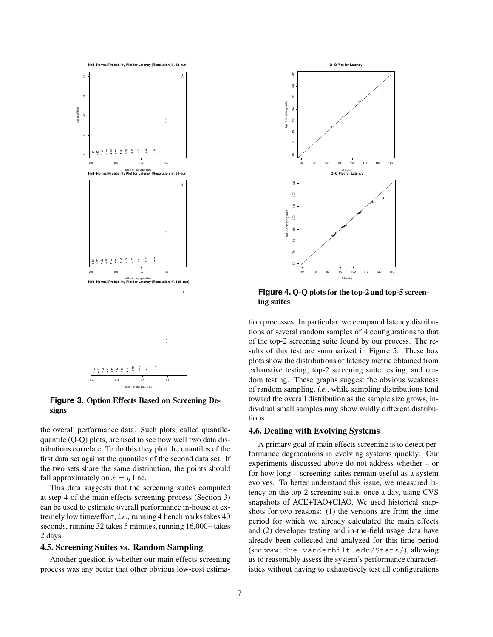

**Figure 3. Option Effects Based on Screening Designs**

the overall performance data. Such plots, called quantilequantile (Q-Q) plots, are used to see how well two data distributions correlate. To do this they plot the quantiles of the first data set against the quantiles of the second data set. If the two sets share the same distribution, the points should fall approximately on  $x = y$  line.

This data suggests that the screening suites computed at step 4 of the main effects screening process (Section 3) can be used to estimate overall performance in-house at extremely low time/effort, *i.e.*, running 4 benchmarks takes 40 seconds, running 32 takes 5 minutes, running 16,000+ takes 2 days.

## **4.5. Screening Suites vs. Random Sampling**

Another question is whether our main effects screening process was any better that other obvious low-cost estima-



**Figure 4. Q-Q plots for the top-2 and top-5 screening suites**

tion processes. In particular, we compared latency distributions of several random samples of 4 configurations to that of the top-2 screening suite found by our process. The results of this test are summarized in Figure 5. These box plots show the distributions of latency metric obtained from exhaustive testing, top-2 screening suite testing, and random testing. These graphs suggest the obvious weakness of random sampling, *i.e.*, while sampling distributions tend toward the overall distribution as the sample size grows, individual small samples may show wildly different distributions.

## **4.6. Dealing with Evolving Systems**

A primary goal of main effects screening is to detect performance degradations in evolving systems quickly. Our experiments discussed above do not address whether – or for how long – screening suites remain useful as a system evolves. To better understand this issue, we measured latency on the top-2 screening suite, once a day, using CVS snapshots of ACE+TAO+CIAO. We used historical snapshots for two reasons: (1) the versions are from the time period for which we already calculated the main effects and (2) developer testing and in-the-field usage data have already been collected and analyzed for this time period (see www.dre.vanderbilt.edu/Stats/), allowing us to reasonably assess the system's performance characteristics without having to exhaustively test all configurations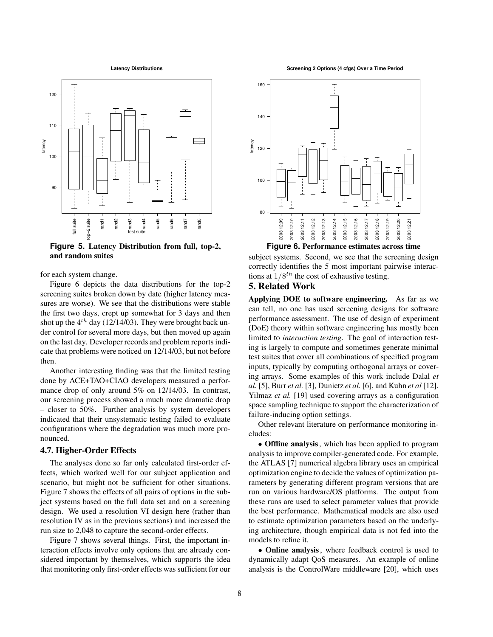**Latency Distributions**



**Figure 5. Latency Distribution from full, top-2, and random suites**

for each system change.

Figure 6 depicts the data distributions for the top-2 screening suites broken down by date (higher latency measures are worse). We see that the distributions were stable the first two days, crept up somewhat for 3 days and then shot up the  $4^{th}$  day (12/14/03). They were brought back under control for several more days, but then moved up again on the last day. Developer records and problem reports indicate that problems were noticed on 12/14/03, but not before then.

Another interesting finding was that the limited testing done by ACE+TAO+CIAO developers measured a performance drop of only around 5% on 12/14/03. In contrast, our screening process showed a much more dramatic drop – closer to 50%. Further analysis by system developers indicated that their unsystematic testing failed to evaluate configurations where the degradation was much more pronounced.

## **4.7. Higher-Order Effects**

The analyses done so far only calculated first-order effects, which worked well for our subject application and scenario, but might not be sufficient for other situations. Figure 7 shows the effects of all pairs of options in the subject systems based on the full data set and on a screening design. We used a resolution VI design here (rather than resolution IV as in the previous sections) and increased the run size to 2,048 to capture the second-order effects.

Figure 7 shows several things. First, the important interaction effects involve only options that are already considered important by themselves, which supports the idea that monitoring only first-order effects was sufficient for our

**Screening 2 Options (4 cfgs) Over a Time Period**



subject systems. Second, we see that the screening design correctly identifies the 5 most important pairwise interactions at  $1/8^{th}$  the cost of exhaustive testing.

## **5. Related Work**

**Applying DOE to software engineering.** As far as we can tell, no one has used screening designs for software performance assessment. The use of design of experiment (DoE) theory within software engineering has mostly been limited to *interaction testing*. The goal of interaction testing is largely to compute and sometimes generate minimal test suites that cover all combinations of specified program inputs, typically by computing orthogonal arrays or covering arrays. Some examples of this work include Dalal *et al.* [5], Burr *et al.* [3], Dunietz *et al.* [6], and Kuhn *et al* [12]. Yilmaz *et al.* [19] used covering arrays as a configuration space sampling technique to support the characterization of failure-inducing option settings.

Other relevant literature on performance monitoring includes:

• **Offline analysis**, which has been applied to program analysis to improve compiler-generated code. For example, the ATLAS [7] numerical algebra library uses an empirical optimization engine to decide the values of optimization parameters by generating different program versions that are run on various hardware/OS platforms. The output from these runs are used to select parameter values that provide the best performance. Mathematical models are also used to estimate optimization parameters based on the underlying architecture, though empirical data is not fed into the models to refine it.

• **Online analysis**, where feedback control is used to dynamically adapt QoS measures. An example of online analysis is the ControlWare middleware [20], which uses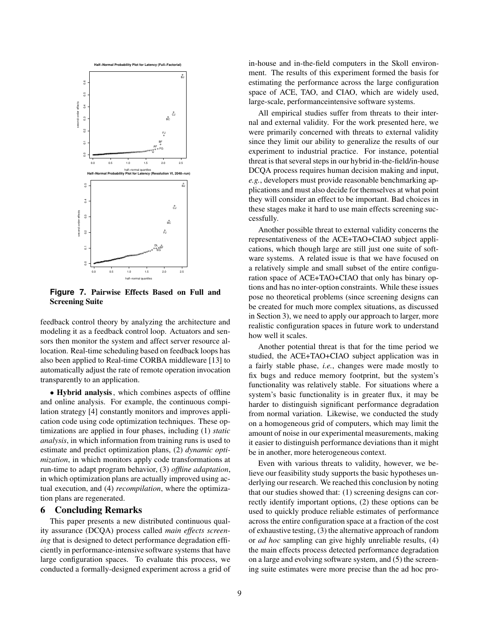

**Figure 7. Pairwise Effects Based on Full and Screening Suite**

feedback control theory by analyzing the architecture and modeling it as a feedback control loop. Actuators and sensors then monitor the system and affect server resource allocation. Real-time scheduling based on feedback loops has also been applied to Real-time CORBA middleware [13] to automatically adjust the rate of remote operation invocation transparently to an application.

• **Hybrid analysis**, which combines aspects of offline and online analysis. For example, the continuous compilation strategy [4] constantly monitors and improves application code using code optimization techniques. These optimizations are applied in four phases, including (1) *static analysis*, in which information from training runs is used to estimate and predict optimization plans, (2) *dynamic optimization*, in which monitors apply code transformations at run-time to adapt program behavior, (3) *offline adaptation*, in which optimization plans are actually improved using actual execution, and (4) *recompilation*, where the optimization plans are regenerated.

## **6 Concluding Remarks**

This paper presents a new distributed continuous quality assurance (DCQA) process called *main effects screening* that is designed to detect performance degradation efficiently in performance-intensive software systems that have large configuration spaces. To evaluate this process, we conducted a formally-designed experiment across a grid of in-house and in-the-field computers in the Skoll environment. The results of this experiment formed the basis for estimating the performance across the large configuration space of ACE, TAO, and CIAO, which are widely used, large-scale, performanceintensive software systems.

All empirical studies suffer from threats to their internal and external validity. For the work presented here, we were primarily concerned with threats to external validity since they limit our ability to generalize the results of our experiment to industrial practice. For instance, potential threat is that several steps in our hybrid in-the-field/in-house DCQA process requires human decision making and input, *e.g.*, developers must provide reasonable benchmarking applications and must also decide for themselves at what point they will consider an effect to be important. Bad choices in these stages make it hard to use main effects screening successfully.

Another possible threat to external validity concerns the representativeness of the ACE+TAO+CIAO subject applications, which though large are still just one suite of software systems. A related issue is that we have focused on a relatively simple and small subset of the entire configuration space of ACE+TAO+CIAO that only has binary options and has no inter-option constraints. While these issues pose no theoretical problems (since screening designs can be created for much more complex situations, as discussed in Section 3), we need to apply our approach to larger, more realistic configuration spaces in future work to understand how well it scales.

Another potential threat is that for the time period we studied, the ACE+TAO+CIAO subject application was in a fairly stable phase, *i.e.*, changes were made mostly to fix bugs and reduce memory footprint, but the system's functionality was relatively stable. For situations where a system's basic functionality is in greater flux, it may be harder to distinguish significant performance degradation from normal variation. Likewise, we conducted the study on a homogeneous grid of computers, which may limit the amount of noise in our experimental measurements, making it easier to distinguish performance deviations than it might be in another, more heterogeneous context.

Even with various threats to validity, however, we believe our feasibility study supports the basic hypotheses underlying our research. We reached this conclusion by noting that our studies showed that: (1) screening designs can correctly identify important options, (2) these options can be used to quickly produce reliable estimates of performance across the entire configuration space at a fraction of the cost of exhaustive testing, (3) the alternative approach of random or *ad hoc* sampling can give highly unreliable results, (4) the main effects process detected performance degradation on a large and evolving software system, and (5) the screening suite estimates were more precise than the ad hoc pro-